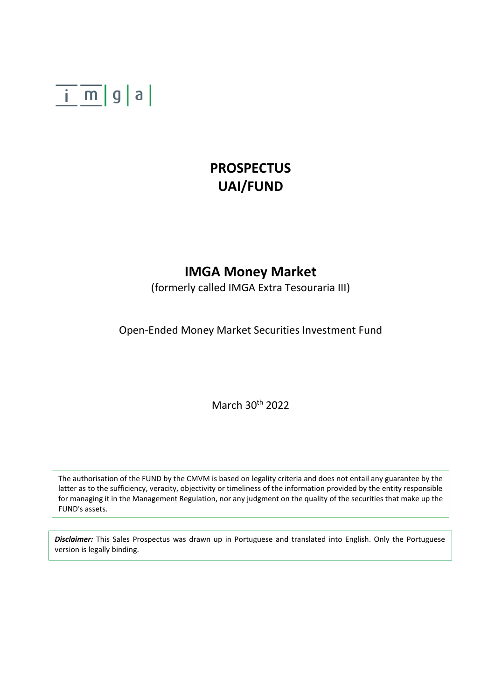

## **PROSPECTUS UAI/FUND**

## **IMGA Money Market**

(formerly called IMGA Extra Tesouraria III)

Open-Ended Money Market Securities Investment Fund

March 30th 2022

The authorisation of the FUND by the CMVM is based on legality criteria and does not entail any guarantee by the latter as to the sufficiency, veracity, objectivity or timeliness of the information provided by the entity responsible for managing it in the Management Regulation, nor any judgment on the quality of the securities that make up the FUND's assets.

*Disclaimer:* This Sales Prospectus was drawn up in Portuguese and translated into English. Only the Portuguese version is legally binding.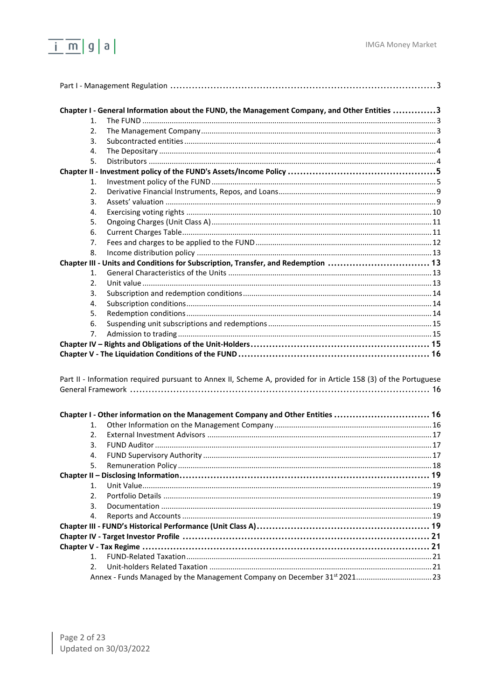

| Chapter I - General Information about the FUND, the Management Company, and Other Entities 3                     |  |
|------------------------------------------------------------------------------------------------------------------|--|
| 1.                                                                                                               |  |
| 2.                                                                                                               |  |
| 3.                                                                                                               |  |
| 4.                                                                                                               |  |
| 5.                                                                                                               |  |
|                                                                                                                  |  |
| 1.                                                                                                               |  |
| 2.                                                                                                               |  |
| 3.                                                                                                               |  |
| 4.                                                                                                               |  |
| 5.                                                                                                               |  |
| 6.                                                                                                               |  |
| 7.                                                                                                               |  |
| 8.                                                                                                               |  |
| Chapter III - Units and Conditions for Subscription, Transfer, and Redemption  13                                |  |
| 1.                                                                                                               |  |
| 2.                                                                                                               |  |
| 3.                                                                                                               |  |
| 4.                                                                                                               |  |
| 5.                                                                                                               |  |
| 6.                                                                                                               |  |
| 7.                                                                                                               |  |
|                                                                                                                  |  |
|                                                                                                                  |  |
|                                                                                                                  |  |
| Part II - Information required pursuant to Annex II, Scheme A, provided for in Article 158 (3) of the Portuguese |  |
|                                                                                                                  |  |
|                                                                                                                  |  |
|                                                                                                                  |  |
| Chapter I - Other information on the Management Company and Other Entities  16                                   |  |
| 1.                                                                                                               |  |
| 2.                                                                                                               |  |
| 3.                                                                                                               |  |
|                                                                                                                  |  |
| 5.                                                                                                               |  |
|                                                                                                                  |  |
| $\mathbf{1}$ .                                                                                                   |  |
| 2.                                                                                                               |  |
| 3.                                                                                                               |  |
| 4.                                                                                                               |  |
|                                                                                                                  |  |
|                                                                                                                  |  |
|                                                                                                                  |  |
| $1_{-}$                                                                                                          |  |
| 2.                                                                                                               |  |
| Annex - Funds Managed by the Management Company on December 31 <sup>st</sup> 2021 23                             |  |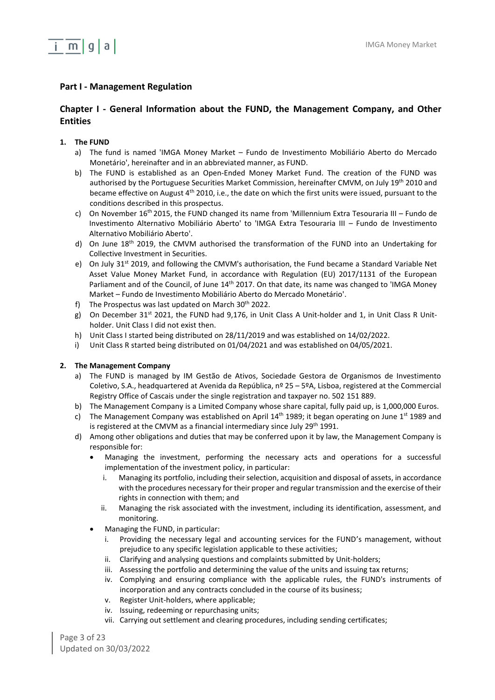

## <span id="page-2-0"></span>**Part I - Management Regulation**

## <span id="page-2-1"></span>**Chapter I - General Information about the FUND, the Management Company, and Other Entities**

## <span id="page-2-2"></span>**1. The FUND**

- a) The fund is named 'IMGA Money Market Fundo de Investimento Mobiliário Aberto do Mercado Monetário', hereinafter and in an abbreviated manner, as FUND.
- b) The FUND is established as an Open-Ended Money Market Fund. The creation of the FUND was authorised by the Portuguese Securities Market Commission, hereinafter CMVM, on July 19th 2010 and became effective on August 4th 2010, i.e., the date on which the first units were issued, pursuant to the conditions described in this prospectus.
- c) On November  $16<sup>th</sup>$  2015, the FUND changed its name from 'Millennium Extra Tesouraria III Fundo de Investimento Alternativo Mobiliário Aberto' to 'IMGA Extra Tesouraria III – Fundo de Investimento Alternativo Mobiliário Aberto'.
- d) On June 18<sup>th</sup> 2019, the CMVM authorised the transformation of the FUND into an Undertaking for Collective Investment in Securities.
- e) On July 31<sup>st</sup> 2019, and following the CMVM's authorisation, the Fund became a Standard Variable Net Asset Value Money Market Fund, in accordance with Regulation (EU) 2017/1131 of the European Parliament and of the Council, of June 14<sup>th</sup> 2017. On that date, its name was changed to 'IMGA Money Market – Fundo de Investimento Mobiliário Aberto do Mercado Monetário'.
- f) The Prospectus was last updated on March  $30<sup>th</sup>$  2022.
- g) On December 31<sup>st</sup> 2021, the FUND had 9,176, in Unit Class A Unit-holder and 1, in Unit Class R Unitholder. Unit Class I did not exist then.
- h) Unit Class I started being distributed on 28/11/2019 and was established on 14/02/2022.
- i) Unit Class R started being distributed on 01/04/2021 and was established on 04/05/2021.

#### <span id="page-2-3"></span>**2. The Management Company**

- a) The FUND is managed by IM Gestão de Ativos, Sociedade Gestora de Organismos de Investimento Coletivo, S.A., headquartered at Avenida da República, nº 25 – 5ºA, Lisboa, registered at the Commercial Registry Office of Cascais under the single registration and taxpayer no. 502 151 889.
- b) The Management Company is a Limited Company whose share capital, fully paid up, is 1,000,000 Euros.
- c) The Management Company was established on April  $14<sup>th</sup>$  1989; it began operating on June  $1<sup>st</sup>$  1989 and is registered at the CMVM as a financial intermediary since July 29<sup>th</sup> 1991.
- d) Among other obligations and duties that may be conferred upon it by law, the Management Company is responsible for:
	- Managing the investment, performing the necessary acts and operations for a successful implementation of the investment policy, in particular:
		- i. Managing its portfolio, including their selection, acquisition and disposal of assets, in accordance with the procedures necessary for their proper and regular transmission and the exercise of their rights in connection with them; and
		- ii. Managing the risk associated with the investment, including its identification, assessment, and monitoring.
	- Managing the FUND, in particular:
		- Providing the necessary legal and accounting services for the FUND's management, without prejudice to any specific legislation applicable to these activities;
		- ii. Clarifying and analysing questions and complaints submitted by Unit-holders;
		- iii. Assessing the portfolio and determining the value of the units and issuing tax returns;
		- iv. Complying and ensuring compliance with the applicable rules, the FUND's instruments of incorporation and any contracts concluded in the course of its business;
		- v. Register Unit-holders, where applicable;
		- iv. Issuing, redeeming or repurchasing units;
		- vii. Carrying out settlement and clearing procedures, including sending certificates;

Page 3 of 23 Updated on 30/03/2022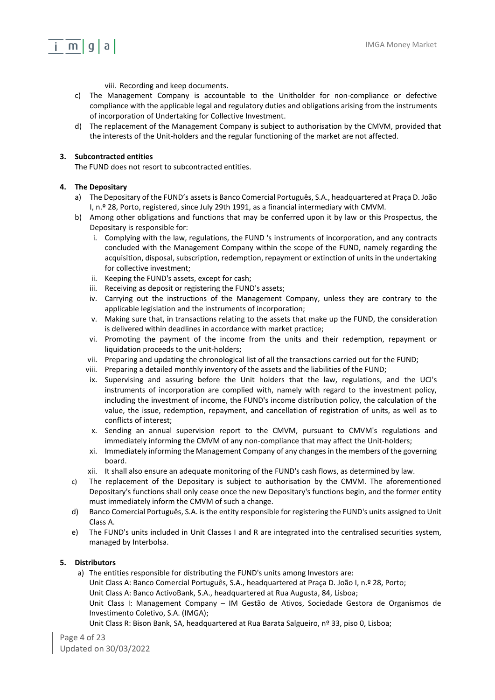## $i \in \mathsf{m} | \mathsf{q} | \mathsf{a} |$

- viii. Recording and keep documents.
- c) The Management Company is accountable to the Unitholder for non-compliance or defective compliance with the applicable legal and regulatory duties and obligations arising from the instruments of incorporation of Undertaking for Collective Investment.
- d) The replacement of the Management Company is subject to authorisation by the CMVM, provided that the interests of the Unit-holders and the regular functioning of the market are not affected.

## <span id="page-3-0"></span>**3. Subcontracted entities**

The FUND does not resort to subcontracted entities.

## <span id="page-3-1"></span>**4. The Depositary**

- a) The Depositary of the FUND's assets is Banco Comercial Português, S.A., headquartered at Praça D. João I, n.º 28, Porto, registered, since July 29th 1991, as a financial intermediary with CMVM.
- b) Among other obligations and functions that may be conferred upon it by law or this Prospectus, the Depositary is responsible for:
	- i. Complying with the law, regulations, the FUND 's instruments of incorporation, and any contracts concluded with the Management Company within the scope of the FUND, namely regarding the acquisition, disposal, subscription, redemption, repayment or extinction of units in the undertaking for collective investment;
	- ii. Keeping the FUND's assets, except for cash;
	- iii. Receiving as deposit or registering the FUND's assets;
	- iv. Carrying out the instructions of the Management Company, unless they are contrary to the applicable legislation and the instruments of incorporation;
	- v. Making sure that, in transactions relating to the assets that make up the FUND, the consideration is delivered within deadlines in accordance with market practice;
	- vi. Promoting the payment of the income from the units and their redemption, repayment or liquidation proceeds to the unit-holders;
	- vii. Preparing and updating the chronological list of all the transactions carried out for the FUND;
	- viii. Preparing a detailed monthly inventory of the assets and the liabilities of the FUND;
	- ix. Supervising and assuring before the Unit holders that the law, regulations, and the UCI's instruments of incorporation are complied with, namely with regard to the investment policy, including the investment of income, the FUND's income distribution policy, the calculation of the value, the issue, redemption, repayment, and cancellation of registration of units, as well as to conflicts of interest;
	- x. Sending an annual supervision report to the CMVM, pursuant to CMVM's regulations and immediately informing the CMVM of any non-compliance that may affect the Unit-holders;
	- xi. Immediately informing the Management Company of any changes in the members of the governing board.
	- xii. It shall also ensure an adequate monitoring of the FUND's cash flows, as determined by law.
- c) The replacement of the Depositary is subject to authorisation by the CMVM. The aforementioned Depositary's functions shall only cease once the new Depositary's functions begin, and the former entity must immediately inform the CMVM of such a change.
- d) Banco Comercial Português, S.A. is the entity responsible for registering the FUND's units assigned to Unit Class A.
- e) The FUND's units included in Unit Classes I and R are integrated into the centralised securities system, managed by Interbolsa.

### <span id="page-3-2"></span>**5. Distributors**

a) The entities responsible for distributing the FUND's units among Investors are: Unit Class A: Banco Comercial Português, S.A., headquartered at Praça D. João I, n.º 28, Porto; Unit Class A: Banco ActivoBank, S.A., headquartered at Rua Augusta, 84, Lisboa; Unit Class I: Management Company – IM Gestão de Ativos, Sociedade Gestora de Organismos de Investimento Coletivo, S.A. (IMGA); Unit Class R: Bison Bank, SA, headquartered at Rua Barata Salgueiro, nº 33, piso 0, Lisboa;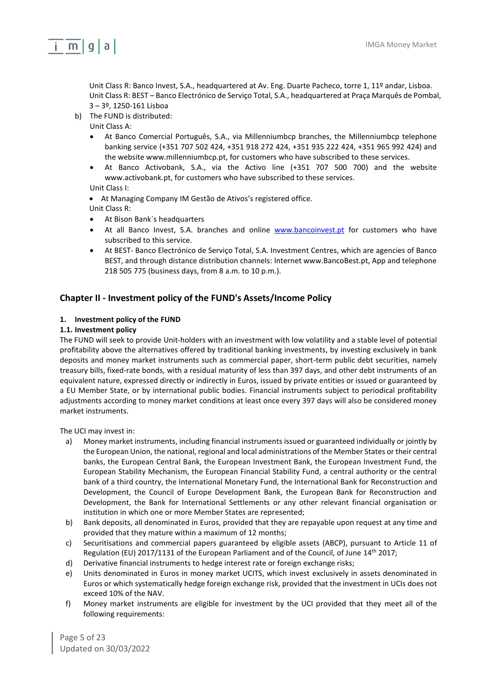

Unit Class R: Banco Invest, S.A., headquartered at Av. Eng. Duarte Pacheco, torre 1, 11º andar, Lisboa. Unit Class R: BEST – Banco Electrónico de Serviço Total, S.A., headquartered at Praça Marquês de Pombal, 3 – 3º, 1250-161 Lisboa

- b) The FUND is distributed:
	- Unit Class A:
	- At Banco Comercial Português, S.A., via Millenniumbcp branches, the Millenniumbcp telephone banking service (+351 707 502 424, +351 918 272 424, +351 935 222 424, +351 965 992 424) and the website www.millenniumbcp.pt, for customers who have subscribed to these services.
	- At Banco Activobank, S.A., via the Activo line (+351 707 500 700) and the website www.activobank.pt, for customers who have subscribed to these services.
	- Unit Class I:
	- At Managing Company IM Gestão de Ativos's registered office.
	- Unit Class R:
	- At Bison Bank´s headquarters
	- At all Banco Invest, S.A. branches and online [www.bancoinvest.pt](http://www.bancoinvest.pt/) for customers who have subscribed to this service.
	- At BEST- Banco Electrónico de Serviço Total, S.A. Investment Centres, which are agencies of Banco BEST, and through distance distribution channels: Internet www.BancoBest.pt, App and telephone 218 505 775 (business days, from 8 a.m. to 10 p.m.).

## <span id="page-4-0"></span>**Chapter II - Investment policy of the FUND's Assets/Income Policy**

### <span id="page-4-1"></span>**1. Investment policy of the FUND**

#### **1.1. Investment policy**

The FUND will seek to provide Unit-holders with an investment with low volatility and a stable level of potential profitability above the alternatives offered by traditional banking investments, by investing exclusively in bank deposits and money market instruments such as commercial paper, short-term public debt securities, namely treasury bills, fixed-rate bonds, with a residual maturity of less than 397 days, and other debt instruments of an equivalent nature, expressed directly or indirectly in Euros, issued by private entities or issued or guaranteed by a EU Member State, or by international public bodies. Financial instruments subject to periodical profitability adjustments according to money market conditions at least once every 397 days will also be considered money market instruments.

The UCI may invest in:

- a) Money market instruments, including financial instruments issued or guaranteed individually or jointly by the European Union, the national, regional and local administrations of the Member States or their central banks, the European Central Bank, the European Investment Bank, the European Investment Fund, the European Stability Mechanism, the European Financial Stability Fund, a central authority or the central bank of a third country, the International Monetary Fund, the International Bank for Reconstruction and Development, the Council of Europe Development Bank, the European Bank for Reconstruction and Development, the Bank for International Settlements or any other relevant financial organisation or institution in which one or more Member States are represented;
- b) Bank deposits, all denominated in Euros, provided that they are repayable upon request at any time and provided that they mature within a maximum of 12 months;
- c) Securitisations and commercial papers guaranteed by eligible assets (ABCP), pursuant to Article 11 of Regulation (EU) 2017/1131 of the European Parliament and of the Council, of June 14th 2017;
- d) Derivative financial instruments to hedge interest rate or foreign exchange risks;
- e) Units denominated in Euros in money market UCITS, which invest exclusively in assets denominated in Euros or which systematically hedge foreign exchange risk, provided that the investment in UCIs does not exceed 10% of the NAV.
- f) Money market instruments are eligible for investment by the UCI provided that they meet all of the following requirements:

Page 5 of 23 Updated on 30/03/2022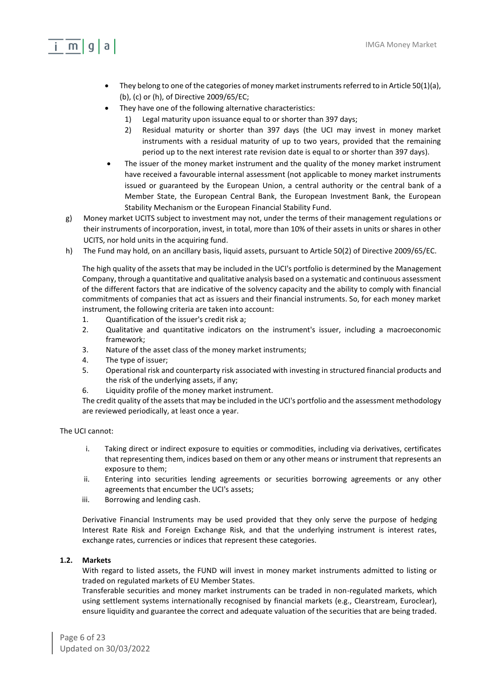## $m|q|a|$

- They belong to one of the categories of money market instruments referred to in Article 50(1)(a), (b), (c) or (h), of Directive 2009/65/EC;
- They have one of the following alternative characteristics:
	- 1) Legal maturity upon issuance equal to or shorter than 397 days;
	- 2) Residual maturity or shorter than 397 days (the UCI may invest in money market instruments with a residual maturity of up to two years, provided that the remaining period up to the next interest rate revision date is equal to or shorter than 397 days).
- The issuer of the money market instrument and the quality of the money market instrument have received a favourable internal assessment (not applicable to money market instruments issued or guaranteed by the European Union, a central authority or the central bank of a Member State, the European Central Bank, the European Investment Bank, the European Stability Mechanism or the European Financial Stability Fund.
- g) Money market UCITS subject to investment may not, under the terms of their management regulations or their instruments of incorporation, invest, in total, more than 10% of their assets in units or shares in other UCITS, nor hold units in the acquiring fund.
- h) The Fund may hold, on an ancillary basis, liquid assets, pursuant to Article 50(2) of Directive 2009/65/EC.

The high quality of the assets that may be included in the UCI's portfolio is determined by the Management Company, through a quantitative and qualitative analysis based on a systematic and continuous assessment of the different factors that are indicative of the solvency capacity and the ability to comply with financial commitments of companies that act as issuers and their financial instruments. So, for each money market instrument, the following criteria are taken into account:

- 1. Quantification of the issuer's credit risk a;
- 2. Qualitative and quantitative indicators on the instrument's issuer, including a macroeconomic framework;
- 3. Nature of the asset class of the money market instruments;
- 4. The type of issuer;
- 5. Operational risk and counterparty risk associated with investing in structured financial products and the risk of the underlying assets, if any;
- 6. Liquidity profile of the money market instrument.

The credit quality of the assets that may be included in the UCI's portfolio and the assessment methodology are reviewed periodically, at least once a year.

The UCI cannot:

- i. Taking direct or indirect exposure to equities or commodities, including via derivatives, certificates that representing them, indices based on them or any other means or instrument that represents an exposure to them;
- ii. Entering into securities lending agreements or securities borrowing agreements or any other agreements that encumber the UCI's assets;
- iii. Borrowing and lending cash.

Derivative Financial Instruments may be used provided that they only serve the purpose of hedging Interest Rate Risk and Foreign Exchange Risk, and that the underlying instrument is interest rates, exchange rates, currencies or indices that represent these categories.

## **1.2. Markets**

With regard to listed assets, the FUND will invest in money market instruments admitted to listing or traded on regulated markets of EU Member States.

Transferable securities and money market instruments can be traded in non-regulated markets, which using settlement systems internationally recognised by financial markets (e.g., Clearstream, Euroclear), ensure liquidity and guarantee the correct and adequate valuation of the securities that are being traded.

Page 6 of 23 Updated on 30/03/2022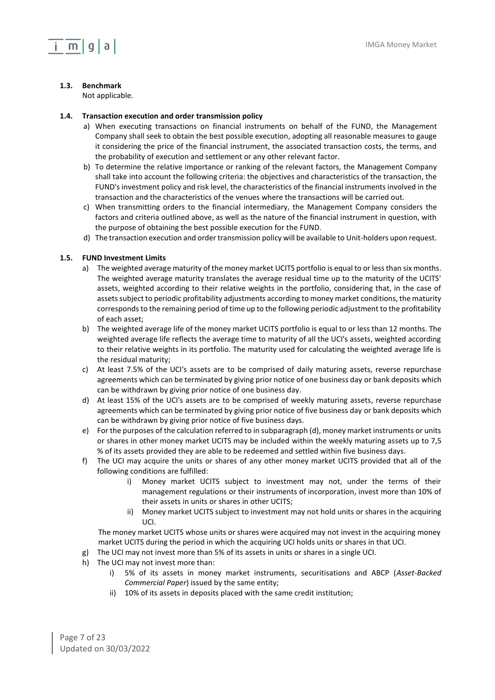### **1.3. Benchmark**

Not applicable.

### **1.4. Transaction execution and order transmission policy**

- a) When executing transactions on financial instruments on behalf of the FUND, the Management Company shall seek to obtain the best possible execution, adopting all reasonable measures to gauge it considering the price of the financial instrument, the associated transaction costs, the terms, and the probability of execution and settlement or any other relevant factor.
- b) To determine the relative importance or ranking of the relevant factors, the Management Company shall take into account the following criteria: the objectives and characteristics of the transaction, the FUND's investment policy and risk level, the characteristics of the financial instruments involved in the transaction and the characteristics of the venues where the transactions will be carried out.
- c) When transmitting orders to the financial intermediary, the Management Company considers the factors and criteria outlined above, as well as the nature of the financial instrument in question, with the purpose of obtaining the best possible execution for the FUND.
- d) The transaction execution and order transmission policy will be available to Unit-holders upon request.

### **1.5. FUND Investment Limits**

- a) The weighted average maturity of the money market UCITS portfolio is equal to or less than six months. The weighted average maturity translates the average residual time up to the maturity of the UCITS' assets, weighted according to their relative weights in the portfolio, considering that, in the case of assets subject to periodic profitability adjustments according to money market conditions, the maturity corresponds to the remaining period of time up to the following periodic adjustment to the profitability of each asset;
- b) The weighted average life of the money market UCITS portfolio is equal to or less than 12 months. The weighted average life reflects the average time to maturity of all the UCI's assets, weighted according to their relative weights in its portfolio. The maturity used for calculating the weighted average life is the residual maturity;
- c) At least 7.5% of the UCI's assets are to be comprised of daily maturing assets, reverse repurchase agreements which can be terminated by giving prior notice of one business day or bank deposits which can be withdrawn by giving prior notice of one business day.
- d) At least 15% of the UCI's assets are to be comprised of weekly maturing assets, reverse repurchase agreements which can be terminated by giving prior notice of five business day or bank deposits which can be withdrawn by giving prior notice of five business days.
- e) For the purposes of the calculation referred to in subparagraph (d), money market instruments or units or shares in other money market UCITS may be included within the weekly maturing assets up to 7,5 % of its assets provided they are able to be redeemed and settled within five business days.
- f) The UCI may acquire the units or shares of any other money market UCITS provided that all of the following conditions are fulfilled:
	- i) Money market UCITS subject to investment may not, under the terms of their management regulations or their instruments of incorporation, invest more than 10% of their assets in units or shares in other UCITS;
	- ii) Money market UCITS subject to investment may not hold units or shares in the acquiring UCI.

The money market UCITS whose units or shares were acquired may not invest in the acquiring money market UCITS during the period in which the acquiring UCI holds units or shares in that UCI.

- g) The UCI may not invest more than 5% of its assets in units or shares in a single UCI.
- h) The UCI may not invest more than:
	- i) 5% of its assets in money market instruments, securitisations and ABCP (*Asset-Backed Commercial Paper*) issued by the same entity;
	- ii) 10% of its assets in deposits placed with the same credit institution;

Page 7 of 23 Updated on 30/03/2022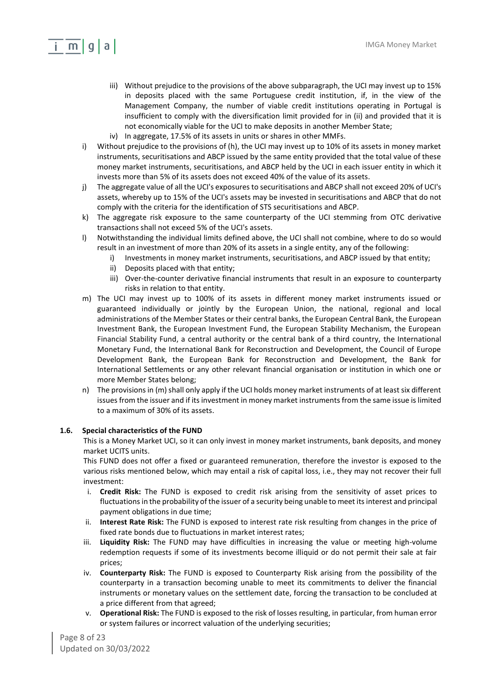## $m|q|a|$

- iii) Without prejudice to the provisions of the above subparagraph, the UCI may invest up to 15% in deposits placed with the same Portuguese credit institution, if, in the view of the Management Company, the number of viable credit institutions operating in Portugal is insufficient to comply with the diversification limit provided for in (ii) and provided that it is not economically viable for the UCI to make deposits in another Member State;
- iv) In aggregate, 17.5% of its assets in units or shares in other MMFs.
- i) Without prejudice to the provisions of (h), the UCI may invest up to 10% of its assets in money market instruments, securitisations and ABCP issued by the same entity provided that the total value of these money market instruments, securitisations, and ABCP held by the UCI in each issuer entity in which it invests more than 5% of its assets does not exceed 40% of the value of its assets.
- j) The aggregate value of all the UCI's exposures to securitisations and ABCP shall not exceed 20% of UCI's assets, whereby up to 15% of the UCI's assets may be invested in securitisations and ABCP that do not comply with the criteria for the identification of STS securitisations and ABCP.
- k) The aggregate risk exposure to the same counterparty of the UCI stemming from OTC derivative transactions shall not exceed 5% of the UCI's assets.
- l) Notwithstanding the individual limits defined above, the UCI shall not combine, where to do so would result in an investment of more than 20% of its assets in a single entity, any of the following:
	- i) Investments in money market instruments, securitisations, and ABCP issued by that entity;
	- ii) Deposits placed with that entity;
	- iii) Over-the-counter derivative financial instruments that result in an exposure to counterparty risks in relation to that entity.
- m) The UCI may invest up to 100% of its assets in different money market instruments issued or guaranteed individually or jointly by the European Union, the national, regional and local administrations of the Member States or their central banks, the European Central Bank, the European Investment Bank, the European Investment Fund, the European Stability Mechanism, the European Financial Stability Fund, a central authority or the central bank of a third country, the International Monetary Fund, the International Bank for Reconstruction and Development, the Council of Europe Development Bank, the European Bank for Reconstruction and Development, the Bank for International Settlements or any other relevant financial organisation or institution in which one or more Member States belong;
- n) The provisions in (m) shall only apply if the UCI holds money market instruments of at least six different issues from the issuer and if its investment in money market instruments from the same issue is limited to a maximum of 30% of its assets.

#### **1.6. Special characteristics of the FUND**

This is a Money Market UCI, so it can only invest in money market instruments, bank deposits, and money market UCITS units.

This FUND does not offer a fixed or guaranteed remuneration, therefore the investor is exposed to the various risks mentioned below, which may entail a risk of capital loss, i.e., they may not recover their full investment:

- i. **Credit Risk:** The FUND is exposed to credit risk arising from the sensitivity of asset prices to fluctuations in the probability of the issuer of a security being unable to meet its interest and principal payment obligations in due time;
- ii. **Interest Rate Risk:** The FUND is exposed to interest rate risk resulting from changes in the price of fixed rate bonds due to fluctuations in market interest rates;
- iii. **Liquidity Risk:** The FUND may have difficulties in increasing the value or meeting high-volume redemption requests if some of its investments become illiquid or do not permit their sale at fair prices;
- iv. **Counterparty Risk:** The FUND is exposed to Counterparty Risk arising from the possibility of the counterparty in a transaction becoming unable to meet its commitments to deliver the financial instruments or monetary values on the settlement date, forcing the transaction to be concluded at a price different from that agreed;
- v. **Operational Risk:** The FUND is exposed to the risk of losses resulting, in particular, from human error or system failures or incorrect valuation of the underlying securities;

Page 8 of 23 Updated on 30/03/2022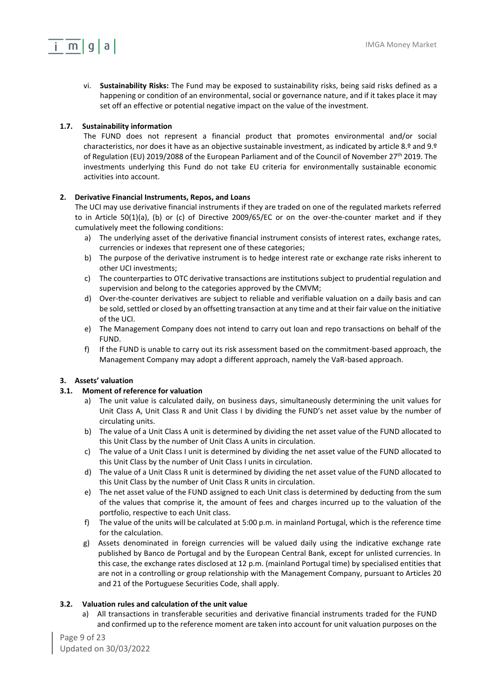

vi. **Sustainability Risks:** The Fund may be exposed to sustainability risks, being said risks defined as a happening or condition of an environmental, social or governance nature, and if it takes place it may set off an effective or potential negative impact on the value of the investment.

## **1.7. Sustainability information**

The FUND does not represent a financial product that promotes environmental and/or social characteristics, nor does it have as an objective sustainable investment, as indicated by article 8.º and 9.º of Regulation (EU) 2019/2088 of the European Parliament and of the Council of November 27th 2019. The investments underlying this Fund do not take EU criteria for environmentally sustainable economic activities into account.

## <span id="page-8-0"></span>**2. Derivative Financial Instruments, Repos, and Loans**

The UCI may use derivative financial instruments if they are traded on one of the regulated markets referred to in Article 50(1)(a), (b) or (c) of Directive 2009/65/EC or on the over-the-counter market and if they cumulatively meet the following conditions:

- a) The underlying asset of the derivative financial instrument consists of interest rates, exchange rates, currencies or indexes that represent one of these categories;
- b) The purpose of the derivative instrument is to hedge interest rate or exchange rate risks inherent to other UCI investments;
- c) The counterparties to OTC derivative transactions are institutions subject to prudential regulation and supervision and belong to the categories approved by the CMVM;
- d) Over-the-counter derivatives are subject to reliable and verifiable valuation on a daily basis and can be sold, settled or closed by an offsetting transaction at any time and at their fair value on the initiative of the UCI.
- e) The Management Company does not intend to carry out loan and repo transactions on behalf of the FUND.
- f) If the FUND is unable to carry out its risk assessment based on the commitment-based approach, the Management Company may adopt a different approach, namely the VaR-based approach.

## <span id="page-8-1"></span>**3. Assets' valuation**

### **3.1. Moment of reference for valuation**

- a) The unit value is calculated daily, on business days, simultaneously determining the unit values for Unit Class A, Unit Class R and Unit Class I by dividing the FUND's net asset value by the number of circulating units.
- b) The value of a Unit Class A unit is determined by dividing the net asset value of the FUND allocated to this Unit Class by the number of Unit Class A units in circulation.
- c) The value of a Unit Class I unit is determined by dividing the net asset value of the FUND allocated to this Unit Class by the number of Unit Class I units in circulation.
- d) The value of a Unit Class R unit is determined by dividing the net asset value of the FUND allocated to this Unit Class by the number of Unit Class R units in circulation.
- e) The net asset value of the FUND assigned to each Unit class is determined by deducting from the sum of the values that comprise it, the amount of fees and charges incurred up to the valuation of the portfolio, respective to each Unit class.
- f) The value of the units will be calculated at 5:00 p.m. in mainland Portugal, which is the reference time for the calculation.
- g) Assets denominated in foreign currencies will be valued daily using the indicative exchange rate published by Banco de Portugal and by the European Central Bank, except for unlisted currencies. In this case, the exchange rates disclosed at 12 p.m. (mainland Portugal time) by specialised entities that are not in a controlling or group relationship with the Management Company, pursuant to Articles 20 and 21 of the Portuguese Securities Code, shall apply.

### **3.2. Valuation rules and calculation of the unit value**

a) All transactions in transferable securities and derivative financial instruments traded for the FUND and confirmed up to the reference moment are taken into account for unit valuation purposes on the

Page 9 of 23 Updated on 30/03/2022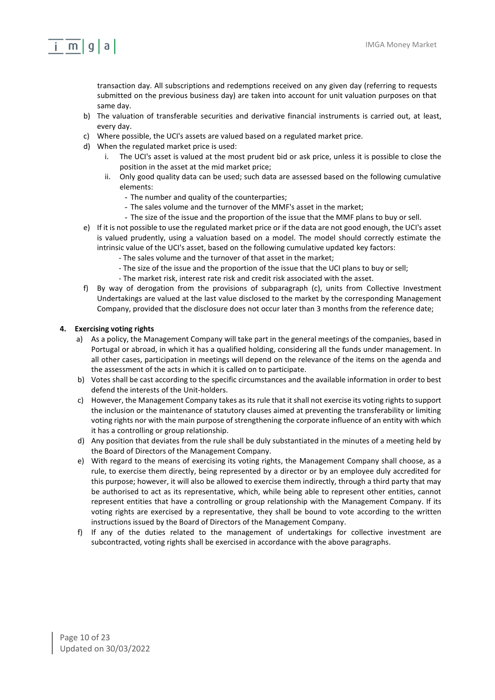## $i \in \mathsf{m} | \mathsf{q} | \mathsf{a} |$

transaction day. All subscriptions and redemptions received on any given day (referring to requests submitted on the previous business day) are taken into account for unit valuation purposes on that same day.

- b) The valuation of transferable securities and derivative financial instruments is carried out, at least, every day.
- c) Where possible, the UCI's assets are valued based on a regulated market price.
- d) When the regulated market price is used:
	- The UCI's asset is valued at the most prudent bid or ask price, unless it is possible to close the position in the asset at the mid market price;
	- ii. Only good quality data can be used; such data are assessed based on the following cumulative elements:
		- The number and quality of the counterparties;
		- The sales volume and the turnover of the MMF's asset in the market;
		- The size of the issue and the proportion of the issue that the MMF plans to buy or sell.
- e) If it is not possible to use the regulated market price or if the data are not good enough, the UCI's asset is valued prudently, using a valuation based on a model. The model should correctly estimate the intrinsic value of the UCI's asset, based on the following cumulative updated key factors:
	- The sales volume and the turnover of that asset in the market;
	- The size of the issue and the proportion of the issue that the UCI plans to buy or sell;
	- The market risk, interest rate risk and credit risk associated with the asset.
- f) By way of derogation from the provisions of subparagraph (c), units from Collective Investment Undertakings are valued at the last value disclosed to the market by the corresponding Management Company, provided that the disclosure does not occur later than 3 months from the reference date;

## <span id="page-9-0"></span>**4. Exercising voting rights**

- a) As a policy, the Management Company will take part in the general meetings of the companies, based in Portugal or abroad, in which it has a qualified holding, considering all the funds under management. In all other cases, participation in meetings will depend on the relevance of the items on the agenda and the assessment of the acts in which it is called on to participate.
- b) Votes shall be cast according to the specific circumstances and the available information in order to best defend the interests of the Unit-holders.
- c) However, the Management Company takes as its rule that it shall not exercise its voting rights to support the inclusion or the maintenance of statutory clauses aimed at preventing the transferability or limiting voting rights nor with the main purpose of strengthening the corporate influence of an entity with which it has a controlling or group relationship.
- d) Any position that deviates from the rule shall be duly substantiated in the minutes of a meeting held by the Board of Directors of the Management Company.
- e) With regard to the means of exercising its voting rights, the Management Company shall choose, as a rule, to exercise them directly, being represented by a director or by an employee duly accredited for this purpose; however, it will also be allowed to exercise them indirectly, through a third party that may be authorised to act as its representative, which, while being able to represent other entities, cannot represent entities that have a controlling or group relationship with the Management Company. If its voting rights are exercised by a representative, they shall be bound to vote according to the written instructions issued by the Board of Directors of the Management Company.
- f) If any of the duties related to the management of undertakings for collective investment are subcontracted, voting rights shall be exercised in accordance with the above paragraphs.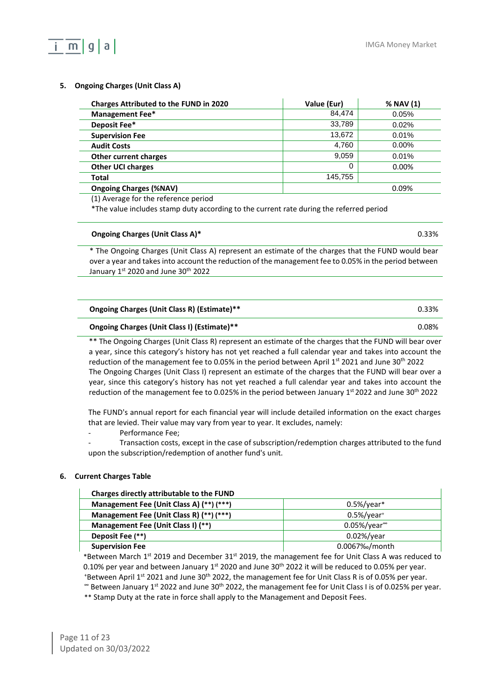## <span id="page-10-0"></span>**5. Ongoing Charges (Unit Class A)**

m

| <b>Charges Attributed to the FUND in 2020</b> | Value (Eur) | % NAV (1) |
|-----------------------------------------------|-------------|-----------|
| Management Fee*                               | 84.474      | 0.05%     |
| Deposit Fee*                                  | 33,789      | 0.02%     |
| <b>Supervision Fee</b>                        | 13,672      | 0.01%     |
| <b>Audit Costs</b>                            | 4.760       | $0.00\%$  |
| <b>Other current charges</b>                  | 9.059       | 0.01%     |
| <b>Other UCI charges</b>                      | 0           | 0.00%     |
| Total                                         | 145,755     |           |
| <b>Ongoing Charges (%NAV)</b>                 |             | 0.09%     |

(1) Average for the reference period

\*The value includes stamp duty according to the current rate during the referred period

#### **Ongoing Charges (Unit Class A)\*** 0.33%

\* The Ongoing Charges (Unit Class A) represent an estimate of the charges that the FUND would bear over a year and takes into account the reduction of the management fee to 0.05% in the period between January 1st 2020 and June 30<sup>th</sup> 2022

| Ongoing Charges (Unit Class R) (Estimate)** | 0.33% |
|---------------------------------------------|-------|
| Ongoing Charges (Unit Class I) (Estimate)** | 0.08% |

\*\* The Ongoing Charges (Unit Class R) represent an estimate of the charges that the FUND will bear over a year, since this category's history has not yet reached a full calendar year and takes into account the reduction of the management fee to 0.05% in the period between April 1<sup>st</sup> 2021 and June 30<sup>th</sup> 2022 The Ongoing Charges (Unit Class I) represent an estimate of the charges that the FUND will bear over a year, since this category's history has not yet reached a full calendar year and takes into account the reduction of the management fee to 0.025% in the period between January 1<sup>st</sup> 2022 and June 30<sup>th</sup> 2022

The FUND's annual report for each financial year will include detailed information on the exact charges that are levied. Their value may vary from year to year. It excludes, namely:

Performance Fee;

- Transaction costs, except in the case of subscription/redemption charges attributed to the fund upon the subscription/redemption of another fund's unit.

### <span id="page-10-1"></span>**6. Current Charges Table**

| Charges directly attributable to the FUND |                            |
|-------------------------------------------|----------------------------|
| Management Fee (Unit Class A) (**) (***)  | $0.5\%$ /year*             |
| Management Fee (Unit Class R) (**) (***)  | $0.5\%$ /year <sup>+</sup> |
| Management Fee (Unit Class I) (**)        | $0.05\%$ /year $\degree$   |
| Deposit Fee (**)                          | $0.02\%/year$              |
| <b>Supervision Fee</b>                    | 0.0067% / month            |

\*Between March 1st 2019 and December 31st 2019, the management fee for Unit Class A was reduced to 0.10% per year and between January 1<sup>st</sup> 2020 and June 30<sup>th</sup> 2022 it will be reduced to 0.05% per year. \*Between April 1<sup>st</sup> 2021 and June 30<sup>th</sup> 2022, the management fee for Unit Class R is of 0.05% per year. <sup>∞</sup> Between January 1<sup>st</sup> 2022 and June 30<sup>th</sup> 2022, the management fee for Unit Class I is of 0.025% per year.

\*\* Stamp Duty at the rate in force shall apply to the Management and Deposit Fees.

Page 11 of 23 Updated on 30/03/2022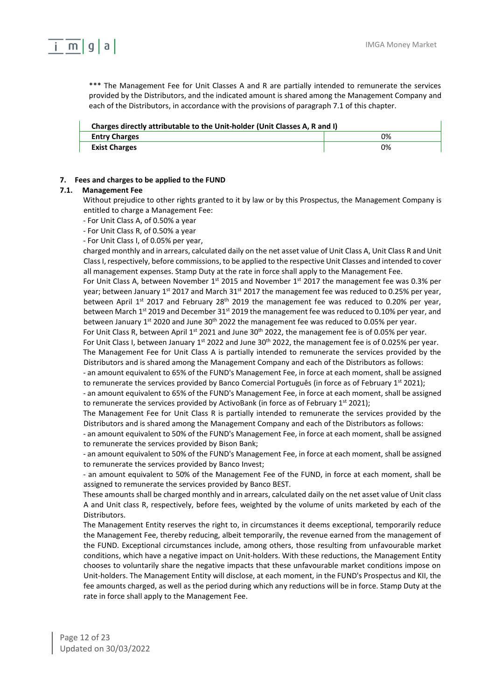

\*\*\* The Management Fee for Unit Classes A and R are partially intended to remunerate the services provided by the Distributors, and the indicated amount is shared among the Management Company and each of the Distributors, in accordance with the provisions of paragraph 7.1 of this chapter.

| Charges directly attributable to the Unit-holder (Unit Classes A, R and I) |    |
|----------------------------------------------------------------------------|----|
| <b>Entry Charges</b>                                                       | 0% |
| <b>Exist Charges</b>                                                       | 0% |

#### <span id="page-11-0"></span>**7. Fees and charges to be applied to the FUND**

#### **7.1. Management Fee**

Without prejudice to other rights granted to it by law or by this Prospectus, the Management Company is entitled to charge a Management Fee:

- For Unit Class A, of 0.50% a year

- For Unit Class R, of 0.50% a year

- For Unit Class I, of 0.05% per year,

charged monthly and in arrears, calculated daily on the net asset value of Unit Class A, Unit Class R and Unit ClassI, respectively, before commissions, to be applied to the respective Unit Classes and intended to cover all management expenses. Stamp Duty at the rate in force shall apply to the Management Fee.

For Unit Class A, between November  $1^{st}$  2015 and November  $1^{st}$  2017 the management fee was 0.3% per year; between January 1<sup>st</sup> 2017 and March 31<sup>st</sup> 2017 the management fee was reduced to 0.25% per year, between April 1<sup>st</sup> 2017 and February 28<sup>th</sup> 2019 the management fee was reduced to 0.20% per year, between March 1<sup>st</sup> 2019 and December 31<sup>st</sup> 2019 the management fee was reduced to 0.10% per year, and between January 1st 2020 and June 30<sup>th</sup> 2022 the management fee was reduced to 0.05% per year.

For Unit Class R, between April 1<sup>st</sup> 2021 and June 30<sup>th</sup> 2022, the management fee is of 0.05% per year.

For Unit Class I, between January 1<sup>st</sup> 2022 and June 30<sup>th</sup> 2022, the management fee is of 0.025% per year.

The Management Fee for Unit Class A is partially intended to remunerate the services provided by the Distributors and is shared among the Management Company and each of the Distributors as follows:

- an amount equivalent to 65% of the FUND's Management Fee, in force at each moment, shall be assigned to remunerate the services provided by Banco Comercial Português (in force as of February  $1^{st}$  2021);

- an amount equivalent to 65% of the FUND's Management Fee, in force at each moment, shall be assigned to remunerate the services provided by ActivoBank (in force as of February  $1^{st}$  2021);

The Management Fee for Unit Class R is partially intended to remunerate the services provided by the Distributors and is shared among the Management Company and each of the Distributors as follows:

- an amount equivalent to 50% of the FUND's Management Fee, in force at each moment, shall be assigned to remunerate the services provided by Bison Bank;

- an amount equivalent to 50% of the FUND's Management Fee, in force at each moment, shall be assigned to remunerate the services provided by Banco Invest;

- an amount equivalent to 50% of the Management Fee of the FUND, in force at each moment, shall be assigned to remunerate the services provided by Banco BEST.

These amounts shall be charged monthly and in arrears, calculated daily on the net asset value of Unit class A and Unit class R, respectively, before fees, weighted by the volume of units marketed by each of the Distributors.

The Management Entity reserves the right to, in circumstances it deems exceptional, temporarily reduce the Management Fee, thereby reducing, albeit temporarily, the revenue earned from the management of the FUND. Exceptional circumstances include, among others, those resulting from unfavourable market conditions, which have a negative impact on Unit-holders. With these reductions, the Management Entity chooses to voluntarily share the negative impacts that these unfavourable market conditions impose on Unit-holders. The Management Entity will disclose, at each moment, in the FUND's Prospectus and KII, the fee amounts charged, as well as the period during which any reductions will be in force. Stamp Duty at the rate in force shall apply to the Management Fee.

Page 12 of 23 Updated on 30/03/2022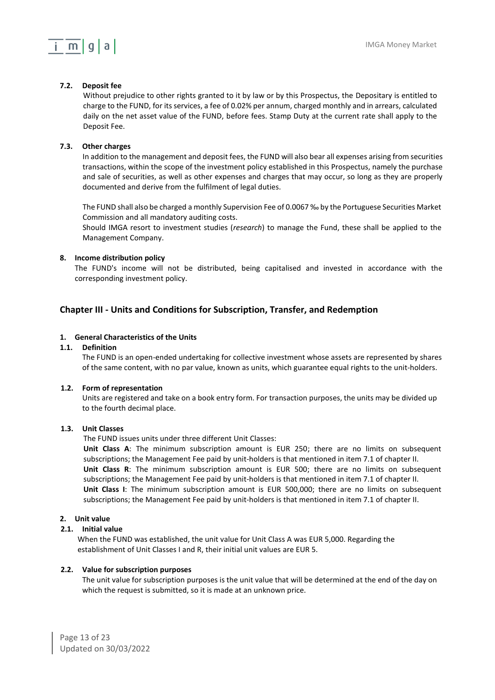## $i \in \mathsf{m} | \mathsf{q} | \mathsf{a} |$

## **7.2. Deposit fee**

Without prejudice to other rights granted to it by law or by this Prospectus, the Depositary is entitled to charge to the FUND, for its services, a fee of 0.02% per annum, charged monthly and in arrears, calculated daily on the net asset value of the FUND, before fees. Stamp Duty at the current rate shall apply to the Deposit Fee.

## **7.3. Other charges**

In addition to the management and deposit fees, the FUND will also bear all expenses arising from securities transactions, within the scope of the investment policy established in this Prospectus, namely the purchase and sale of securities, as well as other expenses and charges that may occur, so long as they are properly documented and derive from the fulfilment of legal duties.

The FUND shall also be charged a monthly Supervision Fee of 0.0067 ‰ by the Portuguese Securities Market Commission and all mandatory auditing costs.

Should IMGA resort to investment studies (*research*) to manage the Fund, these shall be applied to the Management Company.

### <span id="page-12-0"></span>**8. Income distribution policy**

The FUND's income will not be distributed, being capitalised and invested in accordance with the corresponding investment policy.

## <span id="page-12-1"></span>**Chapter III - Units and Conditions for Subscription, Transfer, and Redemption**

## <span id="page-12-2"></span>**1. General Characteristics of the Units**

## **1.1. Definition**

The FUND is an open-ended undertaking for collective investment whose assets are represented by shares of the same content, with no par value, known as units, which guarantee equal rights to the unit-holders.

### **1.2. Form of representation**

Units are registered and take on a book entry form. For transaction purposes, the units may be divided up to the fourth decimal place.

### **1.3. Unit Classes**

The FUND issues units under three different Unit Classes:

**Unit Class A**: The minimum subscription amount is EUR 250; there are no limits on subsequent subscriptions; the Management Fee paid by unit-holders is that mentioned in item 7.1 of chapter II. **Unit Class R**: The minimum subscription amount is EUR 500; there are no limits on subsequent subscriptions; the Management Fee paid by unit-holders is that mentioned in item 7.1 of chapter II. **Unit Class I**: The minimum subscription amount is EUR 500,000; there are no limits on subsequent subscriptions; the Management Fee paid by unit-holders is that mentioned in item 7.1 of chapter II.

## <span id="page-12-3"></span>**2. Unit value**

### **2.1. Initial value**

When the FUND was established, the unit value for Unit Class A was EUR 5,000. Regarding the establishment of Unit Classes I and R, their initial unit values are EUR 5.

### **2.2. Value for subscription purposes**

The unit value for subscription purposes is the unit value that will be determined at the end of the day on which the request is submitted, so it is made at an unknown price.

Page 13 of 23 Updated on 30/03/2022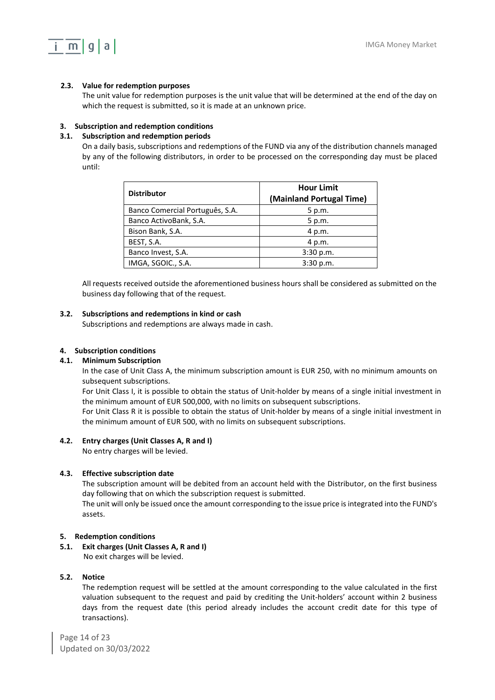

## **2.3. Value for redemption purposes**

The unit value for redemption purposes is the unit value that will be determined at the end of the day on which the request is submitted, so it is made at an unknown price.

## <span id="page-13-0"></span>**3. Subscription and redemption conditions**

### **3.1. Subscription and redemption periods**

On a daily basis, subscriptions and redemptions of the FUND via any of the distribution channels managed by any of the following distributors, in order to be processed on the corresponding day must be placed until:

| <b>Distributor</b>              | <b>Hour Limit</b><br>(Mainland Portugal Time) |  |  |
|---------------------------------|-----------------------------------------------|--|--|
| Banco Comercial Português, S.A. | 5 p.m.                                        |  |  |
| Banco ActivoBank, S.A.          | 5 p.m.                                        |  |  |
| Bison Bank, S.A.                | 4 p.m.                                        |  |  |
| BEST, S.A.                      | 4 p.m.                                        |  |  |
| Banco Invest, S.A.              | 3:30 p.m.                                     |  |  |
| IMGA, SGOIC., S.A.              | 3:30 p.m.                                     |  |  |

All requests received outside the aforementioned business hours shall be considered as submitted on the business day following that of the request.

### **3.2. Subscriptions and redemptions in kind or cash**

Subscriptions and redemptions are always made in cash.

### <span id="page-13-1"></span>**4. Subscription conditions**

### **4.1. Minimum Subscription**

In the case of Unit Class A, the minimum subscription amount is EUR 250, with no minimum amounts on subsequent subscriptions.

For Unit Class I, it is possible to obtain the status of Unit-holder by means of a single initial investment in the minimum amount of EUR 500,000, with no limits on subsequent subscriptions.

For Unit Class R it is possible to obtain the status of Unit-holder by means of a single initial investment in the minimum amount of EUR 500, with no limits on subsequent subscriptions.

### **4.2. Entry charges (Unit Classes A, R and I)**

No entry charges will be levied.

### **4.3. Effective subscription date**

The subscription amount will be debited from an account held with the Distributor, on the first business day following that on which the subscription request is submitted.

The unit will only be issued once the amount corresponding to the issue price is integrated into the FUND's assets.

### <span id="page-13-2"></span>**5. Redemption conditions**

**5.1. Exit charges (Unit Classes A, R and I)** No exit charges will be levied.

### **5.2. Notice**

The redemption request will be settled at the amount corresponding to the value calculated in the first valuation subsequent to the request and paid by crediting the Unit-holders' account within 2 business days from the request date (this period already includes the account credit date for this type of transactions).

Page 14 of 23 Updated on 30/03/2022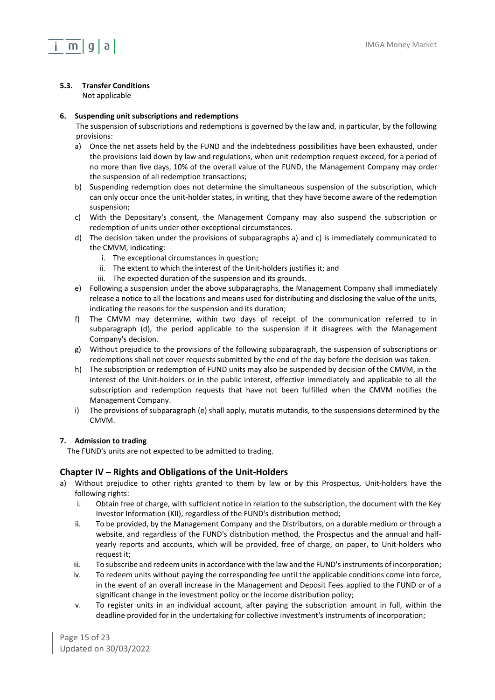

## **5.3. Transfer Conditions**

Not applicable

## <span id="page-14-0"></span>**6. Suspending unit subscriptions and redemptions**

The suspension of subscriptions and redemptions is governed by the law and, in particular, by the following provisions:

- a) Once the net assets held by the FUND and the indebtedness possibilities have been exhausted, under the provisions laid down by law and regulations, when unit redemption request exceed, for a period of no more than five days, 10% of the overall value of the FUND, the Management Company may order the suspension of all redemption transactions;
- b) Suspending redemption does not determine the simultaneous suspension of the subscription, which can only occur once the unit-holder states, in writing, that they have become aware of the redemption suspension;
- c) With the Depositary's consent, the Management Company may also suspend the subscription or redemption of units under other exceptional circumstances.
- d) The decision taken under the provisions of subparagraphs a) and c) is immediately communicated to the CMVM, indicating:
	- i. The exceptional circumstances in question;
	- ii. The extent to which the interest of the Unit-holders justifies it; and
	- iii. The expected duration of the suspension and its grounds.
- e) Following a suspension under the above subparagraphs, the Management Company shall immediately release a notice to all the locations and means used for distributing and disclosing the value of the units, indicating the reasons for the suspension and its duration;
- f) The CMVM may determine, within two days of receipt of the communication referred to in subparagraph (d), the period applicable to the suspension if it disagrees with the Management Company's decision.
- g) Without prejudice to the provisions of the following subparagraph, the suspension of subscriptions or redemptions shall not cover requests submitted by the end of the day before the decision was taken.
- h) The subscription or redemption of FUND units may also be suspended by decision of the CMVM, in the interest of the Unit-holders or in the public interest, effective immediately and applicable to all the subscription and redemption requests that have not been fulfilled when the CMVM notifies the Management Company.
- i) The provisions of subparagraph (e) shall apply, mutatis mutandis, to the suspensions determined by the CMVM.

## <span id="page-14-1"></span>**7. Admission to trading**

The FUND's units are not expected to be admitted to trading.

## <span id="page-14-2"></span>**Chapter IV – Rights and Obligations of the Unit-Holders**

- a) Without prejudice to other rights granted to them by law or by this Prospectus, Unit-holders have the following rights:
	- i. Obtain free of charge, with sufficient notice in relation to the subscription, the document with the Key Investor Information (KII), regardless of the FUND's distribution method;
	- ii. To be provided, by the Management Company and the Distributors, on a durable medium or through a website, and regardless of the FUND's distribution method, the Prospectus and the annual and halfyearly reports and accounts, which will be provided, free of charge, on paper, to Unit-holders who request it;
	- iii. To subscribe and redeem units in accordance with the law and the FUND's instruments of incorporation;
	- iv. To redeem units without paying the corresponding fee until the applicable conditions come into force, in the event of an overall increase in the Management and Deposit Fees applied to the FUND or of a significant change in the investment policy or the income distribution policy;
	- v. To register units in an individual account, after paying the subscription amount in full, within the deadline provided for in the undertaking for collective investment's instruments of incorporation;

Page 15 of 23 Updated on 30/03/2022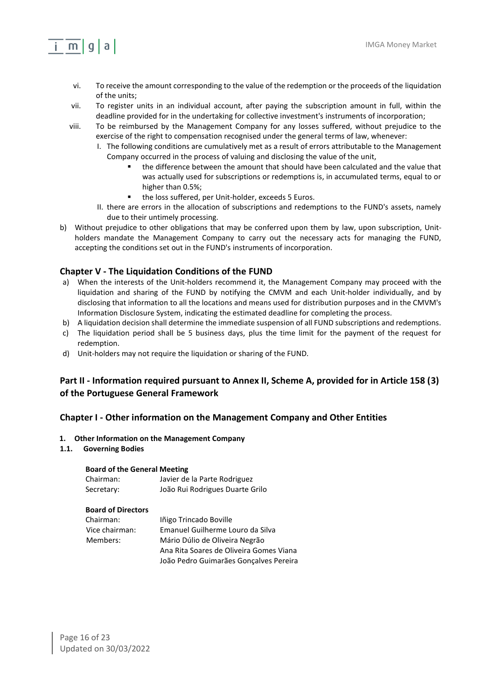- vi. To receive the amount corresponding to the value of the redemption or the proceeds of the liquidation of the units;
- vii. To register units in an individual account, after paying the subscription amount in full, within the deadline provided for in the undertaking for collective investment's instruments of incorporation;
- viii. To be reimbursed by the Management Company for any losses suffered, without prejudice to the exercise of the right to compensation recognised under the general terms of law, whenever:
	- I. The following conditions are cumulatively met as a result of errors attributable to the Management Company occurred in the process of valuing and disclosing the value of the unit,
		- the difference between the amount that should have been calculated and the value that was actually used for subscriptions or redemptions is, in accumulated terms, equal to or higher than 0.5%;
		- the loss suffered, per Unit-holder, exceeds 5 Euros.
	- II. there are errors in the allocation of subscriptions and redemptions to the FUND's assets, namely due to their untimely processing.
- b) Without prejudice to other obligations that may be conferred upon them by law, upon subscription, Unitholders mandate the Management Company to carry out the necessary acts for managing the FUND, accepting the conditions set out in the FUND's instruments of incorporation.

## <span id="page-15-0"></span>**Chapter V - The Liquidation Conditions of the FUND**

- a) When the interests of the Unit-holders recommend it, the Management Company may proceed with the liquidation and sharing of the FUND by notifying the CMVM and each Unit-holder individually, and by disclosing that information to all the locations and means used for distribution purposes and in the CMVM's Information Disclosure System, indicating the estimated deadline for completing the process.
- b) A liquidation decision shall determine the immediate suspension of all FUND subscriptions and redemptions.
- c) The liquidation period shall be 5 business days, plus the time limit for the payment of the request for redemption.
- d) Unit-holders may not require the liquidation or sharing of the FUND.

## <span id="page-15-1"></span>**Part II - Information required pursuant to Annex II, Scheme A, provided for in Article 158 (3) of the Portuguese General Framework**

### <span id="page-15-2"></span>**Chapter I - Other information on the Management Company and Other Entities**

#### <span id="page-15-3"></span>**1. Other Information on the Management Company**

**1.1. Governing Bodies**

mlqla

#### **Board of the General Meeting**

| Chairman:  | Javier de la Parte Rodriguez    |
|------------|---------------------------------|
| Secretary: | João Rui Rodrigues Duarte Grilo |

#### **Board of Directors**

| Chairman:      | Iñigo Trincado Boville                  |
|----------------|-----------------------------------------|
| Vice chairman: | Emanuel Guilherme Louro da Silva        |
| Members:       | Mário Dúlio de Oliveira Negrão          |
|                | Ana Rita Soares de Oliveira Gomes Viana |
|                | João Pedro Guimarães Gonçalves Pereira  |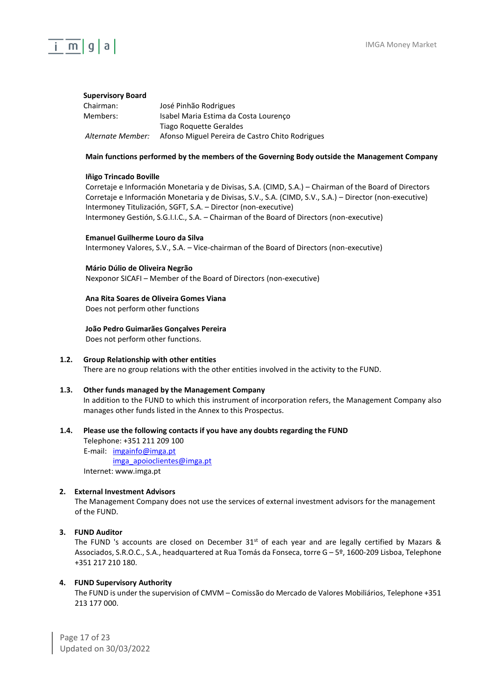

#### **Supervisory Board**

| Chairman:         | José Pinhão Rodrigues                           |
|-------------------|-------------------------------------------------|
| Members:          | Isabel Maria Estima da Costa Lourenco           |
|                   | Tiago Roquette Geraldes                         |
| Alternate Member: | Afonso Miguel Pereira de Castro Chito Rodrigues |

#### **Main functions performed by the members of the Governing Body outside the Management Company**

#### **Iñigo Trincado Boville**

Corretaje e Información Monetaria y de Divisas, S.A. (CIMD, S.A.) – Chairman of the Board of Directors Corretaje e Información Monetaria y de Divisas, S.V., S.A. (CIMD, S.V., S.A.) – Director (non-executive) Intermoney Titulización, SGFT, S.A. – Director (non-executive) Intermoney Gestión, S.G.I.I.C., S.A. – Chairman of the Board of Directors (non-executive)

#### **Emanuel Guilherme Louro da Silva**

Intermoney Valores, S.V., S.A. – Vice-chairman of the Board of Directors (non-executive)

#### **Mário Dúlio de Oliveira Negrão**

Nexponor SICAFI – Member of the Board of Directors (non-executive)

#### **Ana Rita Soares de Oliveira Gomes Viana**

Does not perform other functions

#### **João Pedro Guimarães Gonçalves Pereira**

Does not perform other functions.

#### **1.2. Group Relationship with other entities** There are no group relations with the other entities involved in the activity to the FUND.

#### **1.3. Other funds managed by the Management Company**

In addition to the FUND to which this instrument of incorporation refers, the Management Company also manages other funds listed in the Annex to this Prospectus.

#### **1.4. Please use the following contacts if you have any doubts regarding the FUND**

Telephone: +351 211 209 100 E-mail: [imgainfo@im](mailto:imgainfo@)ga.pt

[imga\\_apoioclientes@i](mailto:imga_apoioclientes@)mga.pt Internet: [www.imga.pt](http://www.fundos.millenniumbcp.pt/)

#### <span id="page-16-0"></span>**2. External Investment Advisors**

The Management Company does not use the services of external investment advisors for the management of the FUND.

#### <span id="page-16-1"></span>**3. FUND Auditor**

The FUND 's accounts are closed on December  $31<sup>st</sup>$  of each year and are legally certified by Mazars & Associados, S.R.O.C., S.A., headquartered at Rua Tomás da Fonseca, torre G – 5º, 1600-209 Lisboa, Telephone +351 217 210 180.

#### <span id="page-16-2"></span>**4. FUND Supervisory Authority**

The FUND is under the supervision of CMVM – Comissão do Mercado de Valores Mobiliários, Telephone +351 213 177 000.

Page 17 of 23 Updated on 30/03/2022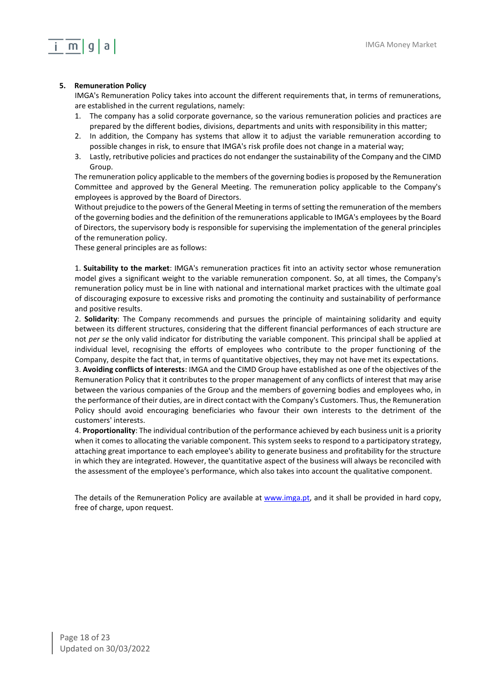## $m|q|a|$

## <span id="page-17-0"></span>**5. Remuneration Policy**

IMGA's Remuneration Policy takes into account the different requirements that, in terms of remunerations, are established in the current regulations, namely:

- 1. The company has a solid corporate governance, so the various remuneration policies and practices are prepared by the different bodies, divisions, departments and units with responsibility in this matter;
- 2. In addition, the Company has systems that allow it to adjust the variable remuneration according to possible changes in risk, to ensure that IMGA's risk profile does not change in a material way;
- 3. Lastly, retributive policies and practices do not endanger the sustainability of the Company and the CIMD Group.

The remuneration policy applicable to the members of the governing bodies is proposed by the Remuneration Committee and approved by the General Meeting. The remuneration policy applicable to the Company's employees is approved by the Board of Directors.

Without prejudice to the powers of the General Meeting in terms of setting the remuneration of the members of the governing bodies and the definition of the remunerations applicable to IMGA's employees by the Board of Directors, the supervisory body is responsible for supervising the implementation of the general principles of the remuneration policy.

These general principles are as follows:

1. **Suitability to the market**: IMGA's remuneration practices fit into an activity sector whose remuneration model gives a significant weight to the variable remuneration component. So, at all times, the Company's remuneration policy must be in line with national and international market practices with the ultimate goal of discouraging exposure to excessive risks and promoting the continuity and sustainability of performance and positive results.

2. **Solidarity**: The Company recommends and pursues the principle of maintaining solidarity and equity between its different structures, considering that the different financial performances of each structure are not *per se* the only valid indicator for distributing the variable component. This principal shall be applied at individual level, recognising the efforts of employees who contribute to the proper functioning of the Company, despite the fact that, in terms of quantitative objectives, they may not have met its expectations.

3. **Avoiding conflicts of interests**: IMGA and the CIMD Group have established as one of the objectives of the Remuneration Policy that it contributes to the proper management of any conflicts of interest that may arise between the various companies of the Group and the members of governing bodies and employees who, in the performance of their duties, are in direct contact with the Company's Customers. Thus, the Remuneration Policy should avoid encouraging beneficiaries who favour their own interests to the detriment of the customers' interests.

4. **Proportionality**: The individual contribution of the performance achieved by each business unit is a priority when it comes to allocating the variable component. This system seeks to respond to a participatory strategy, attaching great importance to each employee's ability to generate business and profitability for the structure in which they are integrated. However, the quantitative aspect of the business will always be reconciled with the assessment of the employee's performance, which also takes into account the qualitative component.

<span id="page-17-1"></span>The details of the Remuneration Policy are available at [www.imga.pt,](http://www.imga.pt/) and it shall be provided in hard copy, free of charge, upon request.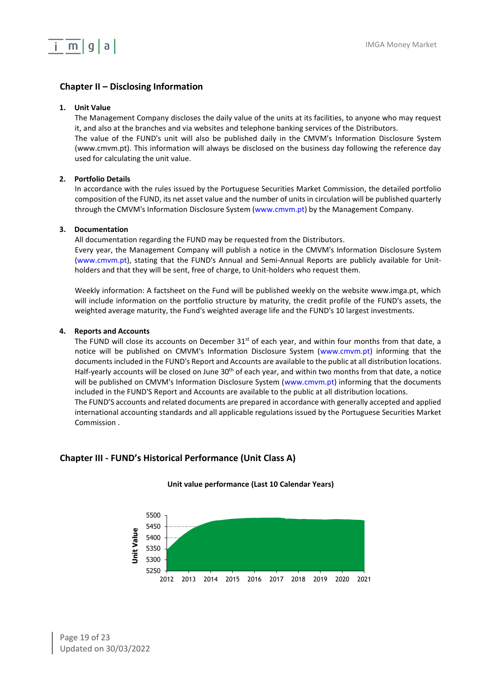

## **Chapter II – Disclosing Information**

#### <span id="page-18-0"></span>**1. Unit Value**

The Management Company discloses the daily value of the units at its facilities, to anyone who may request it, and also at the branches and via websites and telephone banking services of the Distributors.

The value of the FUND's unit will also be published daily in the CMVM's Information Disclosure System (www.cmvm.pt). This information will always be disclosed on the business day following the reference day used for calculating the unit value.

#### <span id="page-18-1"></span>**2. Portfolio Details**

In accordance with the rules issued by the Portuguese Securities Market Commission, the detailed portfolio composition of the FUND, its net asset value and the number of units in circulation will be published quarterly through the CMVM's Information Disclosure System (www.cmvm.pt) by the Management Company.

#### <span id="page-18-2"></span>**3. Documentation**

All documentation regarding the FUND may be requested from the Distributors. Every year, the Management Company will publish a notice in the CMVM's Information Disclosure System (www.cmvm.pt), stating that the FUND's Annual and Semi-Annual Reports are publicly available for Unit-

holders and that they will be sent, free of charge, to Unit-holders who request them.

Weekly information: A factsheet on the Fund will be published weekly on the website www.imga.pt, which will include information on the portfolio structure by maturity, the credit profile of the FUND's assets, the weighted average maturity, the Fund's weighted average life and the FUND's 10 largest investments.

#### <span id="page-18-3"></span>**4. Reports and Accounts**

The FUND will close its accounts on December  $31<sup>st</sup>$  of each year, and within four months from that date, a notice will be published on CMVM's Information Disclosure System (www.cmvm.pt) informing that the documents included in the FUND's Report and Accounts are available to the public at all distribution locations. Half-yearly accounts will be closed on June 30<sup>th</sup> of each year, and within two months from that date, a notice will be published on CMVM's Information Disclosure System (www.cmvm.pt) informing that the documents included in the FUND'S Report and Accounts are available to the public at all distribution locations. The FUND'S accounts and related documents are prepared in accordance with generally accepted and applied international accounting standards and all applicable regulations issued by the Portuguese Securities Market Commission .

## <span id="page-18-4"></span>**Chapter III - FUND's Historical Performance (Unit Class A)**



#### **Unit value performance (Last 10 Calendar Years)**

Page 19 of 23 Updated on 30/03/2022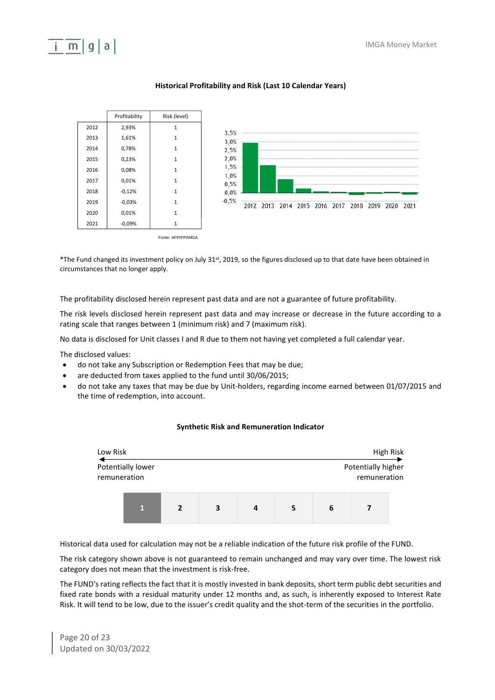# maa



## **Historical Profitability and Risk (Last 10 Calendar Years)**

\*The Fund changed its investment policy on July 31st, 2019, so the figures disclosed up to that date have been obtained in circumstances that no longer apply.

The profitability disclosed herein represent past data and are not a guarantee of future profitability.

The risk levels disclosed herein represent past data and may increase or decrease in the future according to a rating scale that ranges between 1 (minimum risk) and 7 (maximum risk).

No data is disclosed for Unit classes I and R due to them not having yet completed a full calendar year.

The disclosed values:

- do not take any Subscription or Redemption Fees that may be due;
- are deducted from taxes applied to the fund until 30/06/2015;
- do not take any taxes that may be due by Unit-holders, regarding income earned between 01/07/2015 and the time of redemption, into account.

#### **Synthetic Risk and Remuneration Indicator**

| Low Risk                          |    |                |   |   |   |                                    |  | High Risk |
|-----------------------------------|----|----------------|---|---|---|------------------------------------|--|-----------|
| Potentially lower<br>remuneration |    |                |   |   |   | Potentially higher<br>remuneration |  |           |
|                                   | T. | $\overline{2}$ | 3 | 4 | 5 | 6                                  |  |           |

Historical data used for calculation may not be a reliable indication of the future risk profile of the FUND.

The risk category shown above is not guaranteed to remain unchanged and may vary over time. The lowest risk category does not mean that the investment is risk-free.

The FUND's rating reflects the fact that it is mostly invested in bank deposits, short term public debt securities and fixed rate bonds with a residual maturity under 12 months and, as such, is inherently exposed to Interest Rate Risk. It will tend to be low, due to the issuer's credit quality and the shot-term of the securities in the portfolio.

Page 20 of 23 Updated on 30/03/2022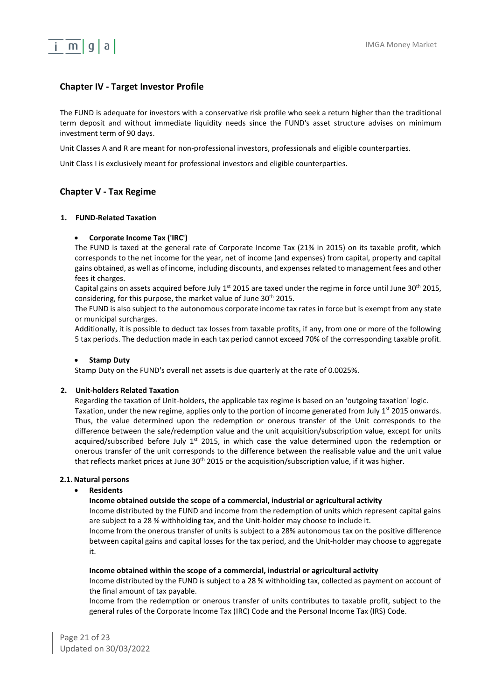## <span id="page-20-0"></span>**Chapter IV - Target Investor Profile**

The FUND is adequate for investors with a conservative risk profile who seek a return higher than the traditional term deposit and without immediate liquidity needs since the FUND's asset structure advises on minimum investment term of 90 days.

Unit Classes A and R are meant for non-professional investors, professionals and eligible counterparties.

Unit Class I is exclusively meant for professional investors and eligible counterparties.

## <span id="page-20-1"></span>**Chapter V - Tax Regime**

#### <span id="page-20-2"></span>**1. FUND-Related Taxation**

#### • **Corporate Income Tax ('IRC')**

The FUND is taxed at the general rate of Corporate Income Tax (21% in 2015) on its taxable profit, which corresponds to the net income for the year, net of income (and expenses) from capital, property and capital gains obtained, as well as of income, including discounts, and expenses related to management fees and other fees it charges.

Capital gains on assets acquired before July  $1^{st}$  2015 are taxed under the regime in force until June 30<sup>th</sup> 2015, considering, for this purpose, the market value of June 30<sup>th</sup> 2015.

The FUND is also subject to the autonomous corporate income tax rates in force but is exempt from any state or municipal surcharges.

Additionally, it is possible to deduct tax losses from taxable profits, if any, from one or more of the following 5 tax periods. The deduction made in each tax period cannot exceed 70% of the corresponding taxable profit.

#### • **Stamp Duty**

Stamp Duty on the FUND's overall net assets is due quarterly at the rate of 0.0025%.

#### <span id="page-20-3"></span>**2. Unit-holders Related Taxation**

Regarding the taxation of Unit-holders, the applicable tax regime is based on an 'outgoing taxation' logic. Taxation, under the new regime, applies only to the portion of income generated from July 1<sup>st</sup> 2015 onwards. Thus, the value determined upon the redemption or onerous transfer of the Unit corresponds to the difference between the sale/redemption value and the unit acquisition/subscription value, except for units acquired/subscribed before July 1<sup>st</sup> 2015, in which case the value determined upon the redemption or onerous transfer of the unit corresponds to the difference between the realisable value and the unit value that reflects market prices at June  $30<sup>th</sup>$  2015 or the acquisition/subscription value, if it was higher.

#### **2.1. Natural persons**

#### • **Residents**

#### **Income obtained outside the scope of a commercial, industrial or agricultural activity**

Income distributed by the FUND and income from the redemption of units which represent capital gains are subject to a 28 % withholding tax, and the Unit-holder may choose to include it.

Income from the onerous transfer of units is subject to a 28% autonomous tax on the positive difference between capital gains and capital losses for the tax period, and the Unit-holder may choose to aggregate it.

#### **Income obtained within the scope of a commercial, industrial or agricultural activity**

Income distributed by the FUND is subject to a 28 % withholding tax, collected as payment on account of the final amount of tax payable.

Income from the redemption or onerous transfer of units contributes to taxable profit, subject to the general rules of the Corporate Income Tax (IRC) Code and the Personal Income Tax (IRS) Code.

Page 21 of 23 Updated on 30/03/2022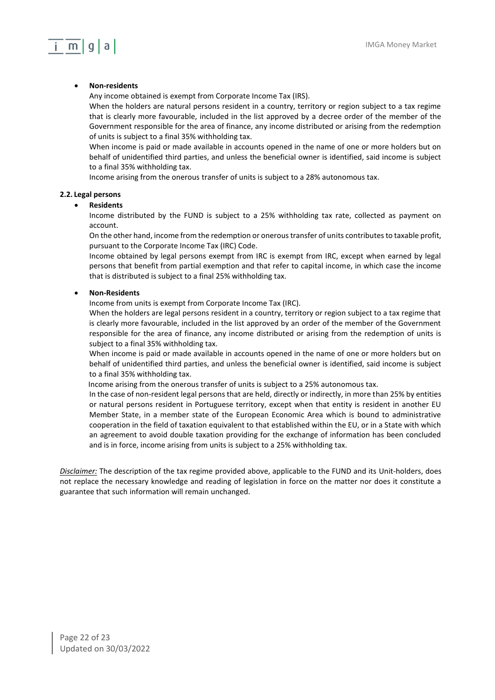## $m|q|a|$

### • **Non-residents**

Any income obtained is exempt from Corporate Income Tax (IRS).

When the holders are natural persons resident in a country, territory or region subject to a tax regime that is clearly more favourable, included in the list approved by a decree order of the member of the Government responsible for the area of finance, any income distributed or arising from the redemption of units is subject to a final 35% withholding tax.

When income is paid or made available in accounts opened in the name of one or more holders but on behalf of unidentified third parties, and unless the beneficial owner is identified, said income is subject to a final 35% withholding tax.

Income arising from the onerous transfer of units is subject to a 28% autonomous tax.

#### **2.2. Legal persons**

#### • **Residents**

Income distributed by the FUND is subject to a 25% withholding tax rate, collected as payment on account.

On the other hand, income from the redemption or onerous transfer of units contributes to taxable profit, pursuant to the Corporate Income Tax (IRC) Code.

Income obtained by legal persons exempt from IRC is exempt from IRC, except when earned by legal persons that benefit from partial exemption and that refer to capital income, in which case the income that is distributed is subject to a final 25% withholding tax.

#### • **Non-Residents**

Income from units is exempt from Corporate Income Tax (IRC).

When the holders are legal persons resident in a country, territory or region subject to a tax regime that is clearly more favourable, included in the list approved by an order of the member of the Government responsible for the area of finance, any income distributed or arising from the redemption of units is subject to a final 35% withholding tax.

When income is paid or made available in accounts opened in the name of one or more holders but on behalf of unidentified third parties, and unless the beneficial owner is identified, said income is subject to a final 35% withholding tax.

Income arising from the onerous transfer of units is subject to a 25% autonomous tax.

In the case of non-resident legal persons that are held, directly or indirectly, in more than 25% by entities or natural persons resident in Portuguese territory, except when that entity is resident in another EU Member State, in a member state of the European Economic Area which is bound to administrative cooperation in the field of taxation equivalent to that established within the EU, or in a State with which an agreement to avoid double taxation providing for the exchange of information has been concluded and is in force, income arising from units is subject to a 25% withholding tax.

*Disclaimer:* The description of the tax regime provided above, applicable to the FUND and its Unit-holders, does not replace the necessary knowledge and reading of legislation in force on the matter nor does it constitute a guarantee that such information will remain unchanged.